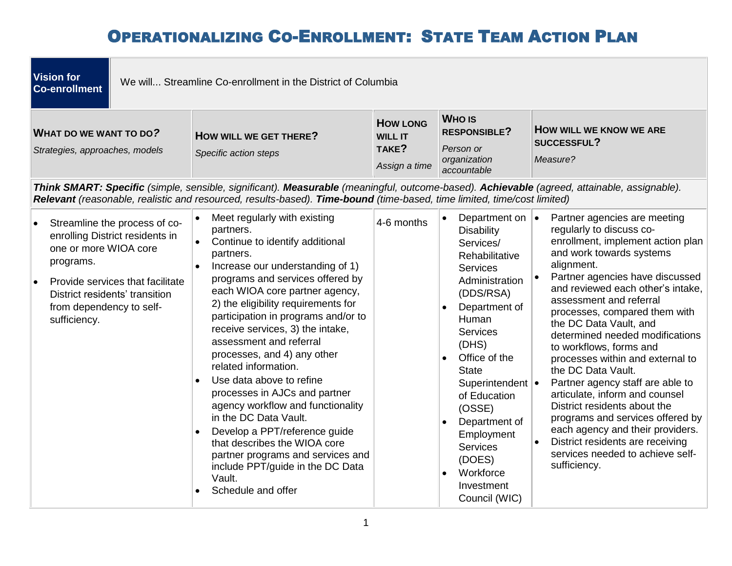## OPERATIONALIZING CO-ENROLLMENT: STATE TEAM ACTION PLAN

| <b>Vision for</b><br><b>Co-enrollment</b>                                                                                                                                                                                                                              | We will Streamline Co-enrollment in the District of Columbia |                                                                                                                                                                                                                                                                                                                                                                                                                                                                                                                                                                                                                                                                                                                                                                  |                                                             |                                                                                                                                                                                                                                                                                                                                                                                                      |                                                                                                                                                                                                                                                                                                                                                                                                                                                                                                                                                                                                                                                                                                     |  |  |
|------------------------------------------------------------------------------------------------------------------------------------------------------------------------------------------------------------------------------------------------------------------------|--------------------------------------------------------------|------------------------------------------------------------------------------------------------------------------------------------------------------------------------------------------------------------------------------------------------------------------------------------------------------------------------------------------------------------------------------------------------------------------------------------------------------------------------------------------------------------------------------------------------------------------------------------------------------------------------------------------------------------------------------------------------------------------------------------------------------------------|-------------------------------------------------------------|------------------------------------------------------------------------------------------------------------------------------------------------------------------------------------------------------------------------------------------------------------------------------------------------------------------------------------------------------------------------------------------------------|-----------------------------------------------------------------------------------------------------------------------------------------------------------------------------------------------------------------------------------------------------------------------------------------------------------------------------------------------------------------------------------------------------------------------------------------------------------------------------------------------------------------------------------------------------------------------------------------------------------------------------------------------------------------------------------------------------|--|--|
| WHAT DO WE WANT TO DO?<br>Strategies, approaches, models                                                                                                                                                                                                               |                                                              | HOW WILL WE GET THERE?<br>Specific action steps                                                                                                                                                                                                                                                                                                                                                                                                                                                                                                                                                                                                                                                                                                                  | <b>HOW LONG</b><br><b>WILL IT</b><br>TAKE?<br>Assign a time | <b>WHO IS</b><br><b>RESPONSIBLE?</b><br>Person or<br>organization<br>accountable                                                                                                                                                                                                                                                                                                                     | <b>HOW WILL WE KNOW WE ARE</b><br><b>SUCCESSFUL?</b><br>Measure?                                                                                                                                                                                                                                                                                                                                                                                                                                                                                                                                                                                                                                    |  |  |
| Think SMART: Specific (simple, sensible, significant). Measurable (meaningful, outcome-based). Achievable (agreed, attainable, assignable).<br>Relevant (reasonable, realistic and resourced, results-based). Time-bound (time-based, time limited, time/cost limited) |                                                              |                                                                                                                                                                                                                                                                                                                                                                                                                                                                                                                                                                                                                                                                                                                                                                  |                                                             |                                                                                                                                                                                                                                                                                                                                                                                                      |                                                                                                                                                                                                                                                                                                                                                                                                                                                                                                                                                                                                                                                                                                     |  |  |
| Streamline the process of co-<br>$\bullet$<br>enrolling District residents in<br>one or more WIOA core<br>programs.<br>Provide services that facilitate<br>I۰<br>District residents' transition<br>from dependency to self-<br>sufficiency.                            |                                                              | Meet regularly with existing<br>$\bullet$<br>partners.<br>Continue to identify additional<br>$\bullet$<br>partners.<br>Increase our understanding of 1)<br>$\bullet$<br>programs and services offered by<br>each WIOA core partner agency,<br>2) the eligibility requirements for<br>participation in programs and/or to<br>receive services, 3) the intake,<br>assessment and referral<br>processes, and 4) any other<br>related information.<br>Use data above to refine<br>$\bullet$<br>processes in AJCs and partner<br>agency workflow and functionality<br>in the DC Data Vault.<br>Develop a PPT/reference guide<br>that describes the WIOA core<br>partner programs and services and<br>include PPT/guide in the DC Data<br>Vault.<br>Schedule and offer | 4-6 months                                                  | Department on $\vert \bullet \vert$<br><b>Disability</b><br>Services/<br>Rehabilitative<br>Services<br>Administration<br>(DDS/RSA)<br>Department of<br>$\bullet$<br>Human<br><b>Services</b><br>(DHS)<br>Office of the<br><b>State</b><br>Superintendent   •<br>of Education<br>(OSSE)<br>Department of<br>$\bullet$<br>Employment<br>Services<br>(DOES)<br>Workforce<br>Investment<br>Council (WIC) | Partner agencies are meeting<br>regularly to discuss co-<br>enrollment, implement action plan<br>and work towards systems<br>alignment.<br>Partner agencies have discussed<br>and reviewed each other's intake.<br>assessment and referral<br>processes, compared them with<br>the DC Data Vault, and<br>determined needed modifications<br>to workflows, forms and<br>processes within and external to<br>the DC Data Vault.<br>Partner agency staff are able to<br>articulate, inform and counsel<br>District residents about the<br>programs and services offered by<br>each agency and their providers.<br>District residents are receiving<br>services needed to achieve self-<br>sufficiency. |  |  |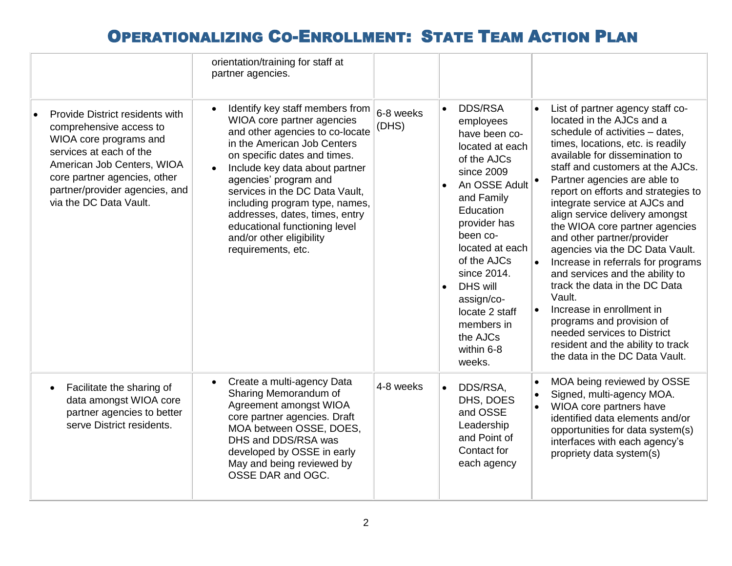## OPERATIONALIZING CO-ENROLLMENT: STATE TEAM ACTION PLAN

|                                                                                                                                                                                                                                           | orientation/training for staff at<br>partner agencies.                                                                                                                                                                                                                                                                                                                                                                           |                    |                                                                                                                                                                                                                                                                                                                                                                                                                                                                                                                                                                                                                                                                                                                                                                                                                                                                                                                                                                                                                                                                                                      |
|-------------------------------------------------------------------------------------------------------------------------------------------------------------------------------------------------------------------------------------------|----------------------------------------------------------------------------------------------------------------------------------------------------------------------------------------------------------------------------------------------------------------------------------------------------------------------------------------------------------------------------------------------------------------------------------|--------------------|------------------------------------------------------------------------------------------------------------------------------------------------------------------------------------------------------------------------------------------------------------------------------------------------------------------------------------------------------------------------------------------------------------------------------------------------------------------------------------------------------------------------------------------------------------------------------------------------------------------------------------------------------------------------------------------------------------------------------------------------------------------------------------------------------------------------------------------------------------------------------------------------------------------------------------------------------------------------------------------------------------------------------------------------------------------------------------------------------|
| Provide District residents with<br>comprehensive access to<br>WIOA core programs and<br>services at each of the<br>American Job Centers, WIOA<br>core partner agencies, other<br>partner/provider agencies, and<br>via the DC Data Vault. | Identify key staff members from<br>$\bullet$<br>WIOA core partner agencies<br>and other agencies to co-locate<br>in the American Job Centers<br>on specific dates and times.<br>Include key data about partner<br>agencies' program and<br>services in the DC Data Vault,<br>including program type, names,<br>addresses, dates, times, entry<br>educational functioning level<br>and/or other eligibility<br>requirements, etc. | 6-8 weeks<br>(DHS) | <b>DDS/RSA</b><br>List of partner agency staff co-<br>$\bullet$<br>$\bullet$<br>located in the AJCs and a<br>employees<br>schedule of activities - dates.<br>have been co-<br>times, locations, etc. is readily<br>located at each<br>available for dissemination to<br>of the AJCs<br>staff and customers at the AJCs.<br>since 2009<br>Partner agencies are able to<br>An OSSE Adult<br>report on efforts and strategies to<br>and Family<br>integrate service at AJCs and<br>Education<br>align service delivery amongst<br>provider has<br>the WIOA core partner agencies<br>been co-<br>and other partner/provider<br>located at each<br>agencies via the DC Data Vault.<br>of the AJCs<br>Increase in referrals for programs<br>since 2014.<br>and services and the ability to<br>track the data in the DC Data<br><b>DHS will</b><br>Vault.<br>assign/co-<br>Increase in enrollment in<br>locate 2 staff<br>programs and provision of<br>members in<br>needed services to District<br>the AJCs<br>resident and the ability to track<br>within 6-8<br>the data in the DC Data Vault.<br>weeks. |
| Facilitate the sharing of<br>$\bullet$<br>data amongst WIOA core<br>partner agencies to better<br>serve District residents.                                                                                                               | Create a multi-agency Data<br>$\bullet$<br>Sharing Memorandum of<br>Agreement amongst WIOA<br>core partner agencies. Draft<br>MOA between OSSE, DOES,<br>DHS and DDS/RSA was<br>developed by OSSE in early<br>May and being reviewed by<br>OSSE DAR and OGC.                                                                                                                                                                     | 4-8 weeks          | MOA being reviewed by OSSE<br>DDS/RSA,<br>Signed, multi-agency MOA.<br>DHS, DOES<br>WIOA core partners have<br>and OSSE<br>identified data elements and/or<br>Leadership<br>opportunities for data system(s)<br>and Point of<br>interfaces with each agency's<br>Contact for<br>propriety data system(s)<br>each agency                                                                                                                                                                                                                                                                                                                                                                                                                                                                                                                                                                                                                                                                                                                                                                              |